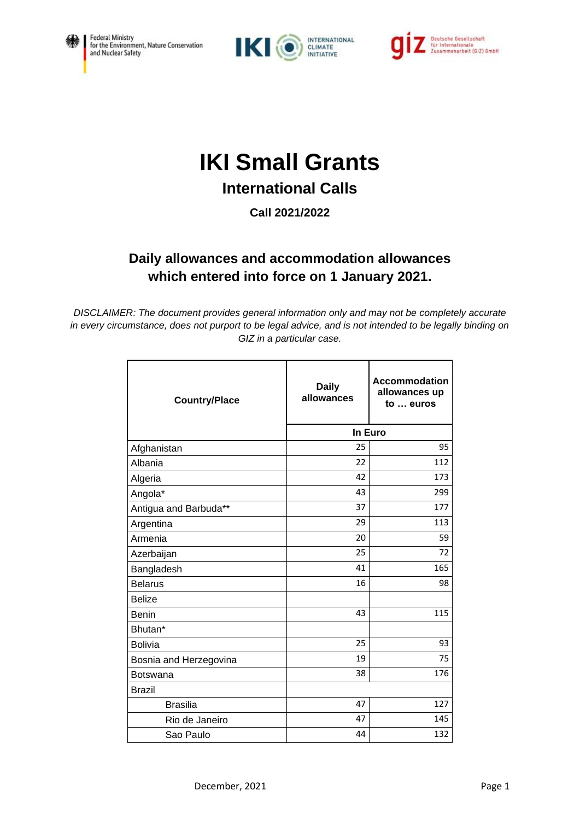





## **IKI Small Grants**

## **International Calls**

**Call 2021/2022**

## **Daily allowances and accommodation allowances which entered into force on 1 January 2021.**

*DISCLAIMER: The document provides general information only and may not be completely accurate in every circumstance, does not purport to be legal advice, and is not intended to be legally binding on GIZ in a particular case.*

| <b>Country/Place</b>   | <b>Daily</b><br>allowances | Accommodation<br>allowances up<br>to  euros |
|------------------------|----------------------------|---------------------------------------------|
|                        | In Euro                    |                                             |
| Afghanistan            | 25                         | 95                                          |
| Albania                | 22                         | 112                                         |
| Algeria                | 42                         | 173                                         |
| Angola*                | 43                         | 299                                         |
| Antigua and Barbuda**  | 37                         | 177                                         |
| Argentina              | 29                         | 113                                         |
| Armenia                | 20                         | 59                                          |
| Azerbaijan             | 25                         | 72                                          |
| Bangladesh             | 41                         | 165                                         |
| <b>Belarus</b>         | 16                         | 98                                          |
| <b>Belize</b>          |                            |                                             |
| <b>Benin</b>           | 43                         | 115                                         |
| Bhutan*                |                            |                                             |
| <b>Bolivia</b>         | 25                         | 93                                          |
| Bosnia and Herzegovina | 19                         | 75                                          |
| <b>Botswana</b>        | 38                         | 176                                         |
| <b>Brazil</b>          |                            |                                             |
| <b>Brasilia</b>        | 47                         | 127                                         |
| Rio de Janeiro         | 47                         | 145                                         |
| Sao Paulo              | 44                         | 132                                         |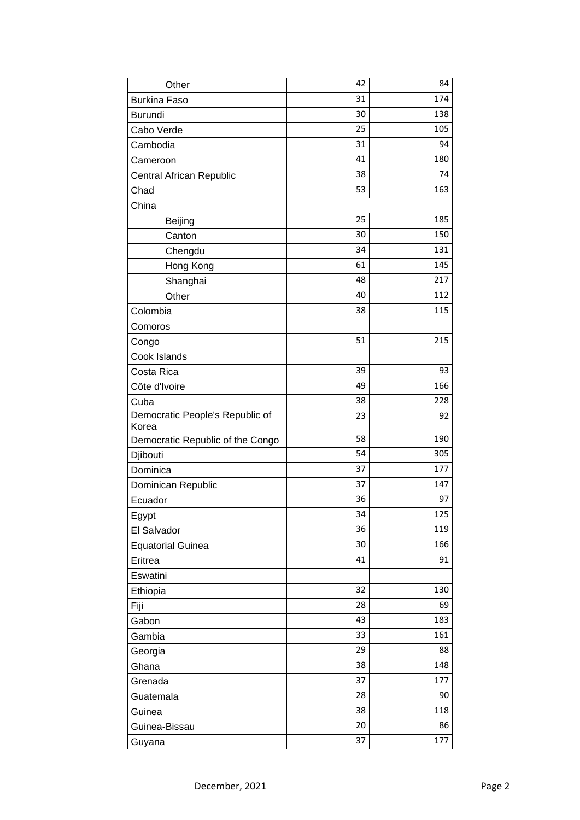| Other                                    | 42 | 84  |
|------------------------------------------|----|-----|
| <b>Burkina Faso</b>                      | 31 | 174 |
| <b>Burundi</b>                           | 30 | 138 |
| Cabo Verde                               | 25 | 105 |
| Cambodia                                 | 31 | 94  |
| Cameroon                                 | 41 | 180 |
| Central African Republic                 | 38 | 74  |
| Chad                                     | 53 | 163 |
| China                                    |    |     |
| Beijing                                  | 25 | 185 |
| Canton                                   | 30 | 150 |
| Chengdu                                  | 34 | 131 |
| Hong Kong                                | 61 | 145 |
| Shanghai                                 | 48 | 217 |
| Other                                    | 40 | 112 |
| Colombia                                 | 38 | 115 |
| Comoros                                  |    |     |
| Congo                                    | 51 | 215 |
| Cook Islands                             |    |     |
| Costa Rica                               | 39 | 93  |
| Côte d'Ivoire                            | 49 | 166 |
| Cuba                                     | 38 | 228 |
| Democratic People's Republic of<br>Korea | 23 | 92  |
| Democratic Republic of the Congo         | 58 | 190 |
| Djibouti                                 | 54 | 305 |
| Dominica                                 | 37 | 177 |
| Dominican Republic                       | 37 | 147 |
| Ecuador                                  | 36 | 97  |
| Egypt                                    | 34 | 125 |
| El Salvador                              | 36 | 119 |
| <b>Equatorial Guinea</b>                 | 30 | 166 |
| Eritrea                                  | 41 | 91  |
| Eswatini                                 |    |     |
| Ethiopia                                 | 32 | 130 |
| Fiji                                     | 28 | 69  |
| Gabon                                    | 43 | 183 |
| Gambia                                   | 33 | 161 |
| Georgia                                  | 29 | 88  |
| Ghana                                    | 38 | 148 |
| Grenada                                  | 37 | 177 |
| Guatemala                                | 28 | 90  |
| Guinea                                   | 38 | 118 |
| Guinea-Bissau                            | 20 | 86  |
| Guyana                                   | 37 | 177 |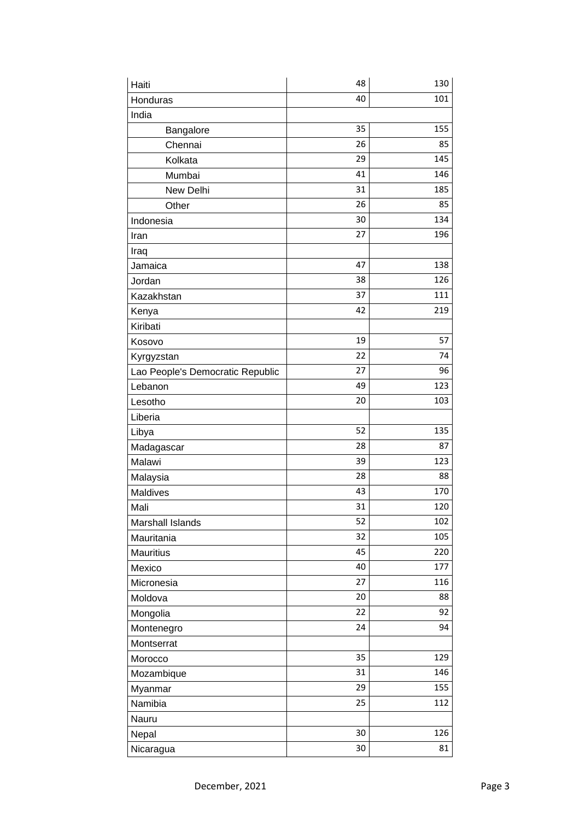| Haiti                            | 48 | 130 |
|----------------------------------|----|-----|
| Honduras                         | 40 | 101 |
| India                            |    |     |
| Bangalore                        | 35 | 155 |
| Chennai                          | 26 | 85  |
| Kolkata                          | 29 | 145 |
| Mumbai                           | 41 | 146 |
| New Delhi                        | 31 | 185 |
| Other                            | 26 | 85  |
| Indonesia                        | 30 | 134 |
| Iran                             | 27 | 196 |
| Iraq                             |    |     |
| Jamaica                          | 47 | 138 |
| Jordan                           | 38 | 126 |
| Kazakhstan                       | 37 | 111 |
| Kenya                            | 42 | 219 |
| Kiribati                         |    |     |
| Kosovo                           | 19 | 57  |
| Kyrgyzstan                       | 22 | 74  |
| Lao People's Democratic Republic | 27 | 96  |
| Lebanon                          | 49 | 123 |
| Lesotho                          | 20 | 103 |
| Liberia                          |    |     |
| Libya                            | 52 | 135 |
| Madagascar                       | 28 | 87  |
| Malawi                           | 39 | 123 |
| Malaysia                         | 28 | 88  |
| Maldives                         | 43 | 170 |
| Mali                             | 31 | 120 |
| <b>Marshall Islands</b>          | 52 | 102 |
| Mauritania                       | 32 | 105 |
| <b>Mauritius</b>                 | 45 | 220 |
| Mexico                           | 40 | 177 |
| Micronesia                       | 27 | 116 |
| Moldova                          | 20 | 88  |
| Mongolia                         | 22 | 92  |
| Montenegro                       | 24 | 94  |
| Montserrat                       |    |     |
| Morocco                          | 35 | 129 |
| Mozambique                       | 31 | 146 |
| Myanmar                          | 29 | 155 |
| Namibia                          | 25 | 112 |
| Nauru                            |    |     |
| Nepal                            | 30 | 126 |
| Nicaragua                        | 30 | 81  |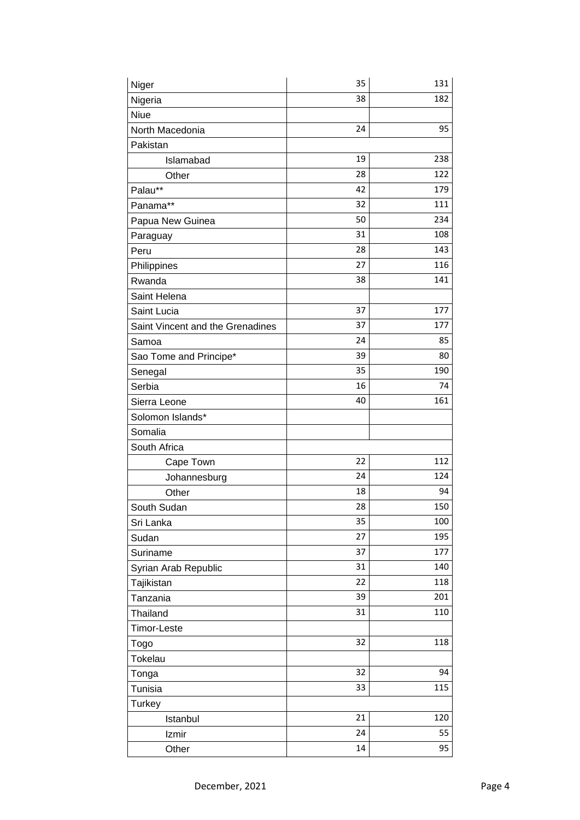| Niger                            | 35 | 131 |
|----------------------------------|----|-----|
| Nigeria                          | 38 | 182 |
| <b>Niue</b>                      |    |     |
| North Macedonia                  | 24 | 95  |
| Pakistan                         |    |     |
| Islamabad                        | 19 | 238 |
| Other                            | 28 | 122 |
| Palau**                          | 42 | 179 |
| Panama**                         | 32 | 111 |
| Papua New Guinea                 | 50 | 234 |
| Paraguay                         | 31 | 108 |
| Peru                             | 28 | 143 |
| Philippines                      | 27 | 116 |
| Rwanda                           | 38 | 141 |
| Saint Helena                     |    |     |
| Saint Lucia                      | 37 | 177 |
| Saint Vincent and the Grenadines | 37 | 177 |
| Samoa                            | 24 | 85  |
| Sao Tome and Principe*           | 39 | 80  |
| Senegal                          | 35 | 190 |
| Serbia                           | 16 | 74  |
| Sierra Leone                     | 40 | 161 |
| Solomon Islands*                 |    |     |
| Somalia                          |    |     |
| South Africa                     |    |     |
| Cape Town                        | 22 | 112 |
| Johannesburg                     | 24 | 124 |
| Other                            | 18 | 94  |
| South Sudan                      | 28 | 150 |
| Sri Lanka                        | 35 | 100 |
| Sudan                            | 27 | 195 |
| Suriname                         | 37 | 177 |
| Syrian Arab Republic             | 31 | 140 |
| Tajikistan                       | 22 | 118 |
| Tanzania                         | 39 | 201 |
| Thailand                         | 31 | 110 |
| Timor-Leste                      |    |     |
| Togo                             | 32 | 118 |
| Tokelau                          |    |     |
| Tonga                            | 32 | 94  |
| Tunisia                          | 33 | 115 |
| <b>Turkey</b>                    |    |     |
| Istanbul                         | 21 | 120 |
| Izmir                            | 24 | 55  |
| Other                            | 14 | 95  |